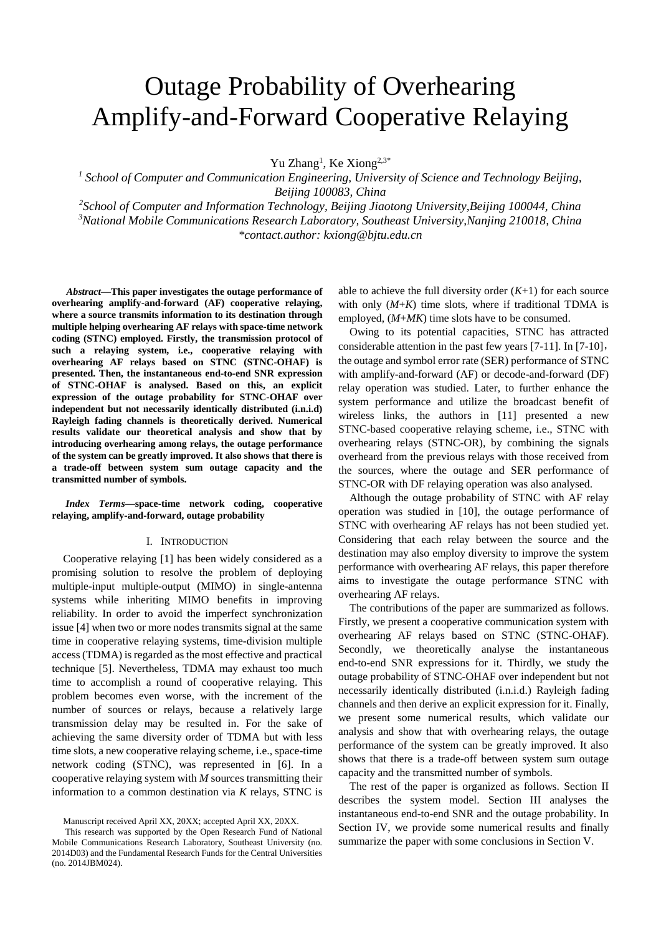# Outage Probability of Overhearing Amplify-and-Forward Cooperative Relaying

Yu Zhang<sup>1</sup>, Ke Xiong<sup>2,3\*</sup>

<sup>1</sup> School of Computer and Communication Engineering, University of Science and Technology Beijing, *Beijing 100083, China*

*2 School of Computer and Information Technology, Beijing Jiaotong University,Beijing 100044, China <sup>3</sup>National Mobile Communications Research Laboratory, Southeast University,Nanjing 210018, China \*contact.author: kxiong@bjtu.edu.cn*

*<sup>1</sup>Abstract***—This paper investigates the outage performance of overhearing amplify-and-forward (AF) cooperative relaying, where a source transmits information to its destination through multiple helping overhearing AF relays with space-time network coding (STNC) employed. Firstly, the transmission protocol of such a relaying system, i.e., cooperative relaying with overhearing AF relays based on STNC (STNC-OHAF) is presented. Then, the instantaneous end-to-end SNR expression of STNC-OHAF is analysed. Based on this, an explicit expression of the outage probability for STNC-OHAF over independent but not necessarily identically distributed (i.n.i.d) Rayleigh fading channels is theoretically derived. Numerical results validate our theoretical analysis and show that by introducing overhearing among relays, the outage performance of the system can be greatly improved. It also shows that there is a trade-off between system sum outage capacity and the transmitted number of symbols.**

## *Index Terms***—space-time network coding, cooperative relaying, amplify-and-forward, outage probability**

#### I. INTRODUCTION

Cooperative relaying [1] has been widely considered as a promising solution to resolve the problem of deploying multiple-input multiple-output (MIMO) in single-antenna systems while inheriting MIMO benefits in improving reliability. In order to avoid the imperfect synchronization issue [4] when two or more nodes transmits signal at the same time in cooperative relaying systems, time-division multiple access (TDMA) is regarded as the most effective and practical technique [5]. Nevertheless, TDMA may exhaust too much time to accomplish a round of cooperative relaying. This problem becomes even worse, with the increment of the number of sources or relays, because a relatively large transmission delay may be resulted in. For the sake of achieving the same diversity order of TDMA but with less time slots, a new cooperative relaying scheme, i.e., space-time network coding (STNC), was represented in [6]. In a cooperative relaying system with *M* sources transmitting their information to a common destination via *K* relays, STNC is

able to achieve the full diversity order  $(K+1)$  for each source with only  $(M+K)$  time slots, where if traditional TDMA is employed, (*M*+*MK*) time slots have to be consumed.

Owing to its potential capacities, STNC has attracted considerable attention in the past few years [7-11]. In [7-10], the outage and symbol error rate (SER) performance of STNC with amplify-and-forward (AF) or decode-and-forward (DF) relay operation was studied. Later, to further enhance the system performance and utilize the broadcast benefit of wireless links, the authors in [11] presented a new STNC-based cooperative relaying scheme, i.e., STNC with overhearing relays (STNC-OR), by combining the signals overheard from the previous relays with those received from the sources, where the outage and SER performance of STNC-OR with DF relaying operation was also analysed.

Although the outage probability of STNC with AF relay operation was studied in [10], the outage performance of STNC with overhearing AF relays has not been studied yet. Considering that each relay between the source and the destination may also employ diversity to improve the system performance with overhearing AF relays, this paper therefore aims to investigate the outage performance STNC with overhearing AF relays.

The contributions of the paper are summarized as follows. Firstly, we present a cooperative communication system with overhearing AF relays based on STNC (STNC-OHAF). Secondly, we theoretically analyse the instantaneous end-to-end SNR expressions for it. Thirdly, we study the outage probability of STNC-OHAF over independent but not necessarily identically distributed (i.n.i.d.) Rayleigh fading channels and then derive an explicit expression for it. Finally, we present some numerical results, which validate our analysis and show that with overhearing relays, the outage performance of the system can be greatly improved. It also shows that there is a trade-off between system sum outage capacity and the transmitted number of symbols.

The rest of the paper is organized as follows. Section II describes the system model. Section III analyses the instantaneous end-to-end SNR and the outage probability. In Section IV, we provide some numerical results and finally summarize the paper with some conclusions in Section V.

Manuscript received April XX, 20XX; accepted April XX, 20XX.

This research was supported by the Open Research Fund of National Mobile Communications Research Laboratory, Southeast University (no. 2014D03) and the Fundamental Research Funds for the Central Universities (no. 2014JBM024).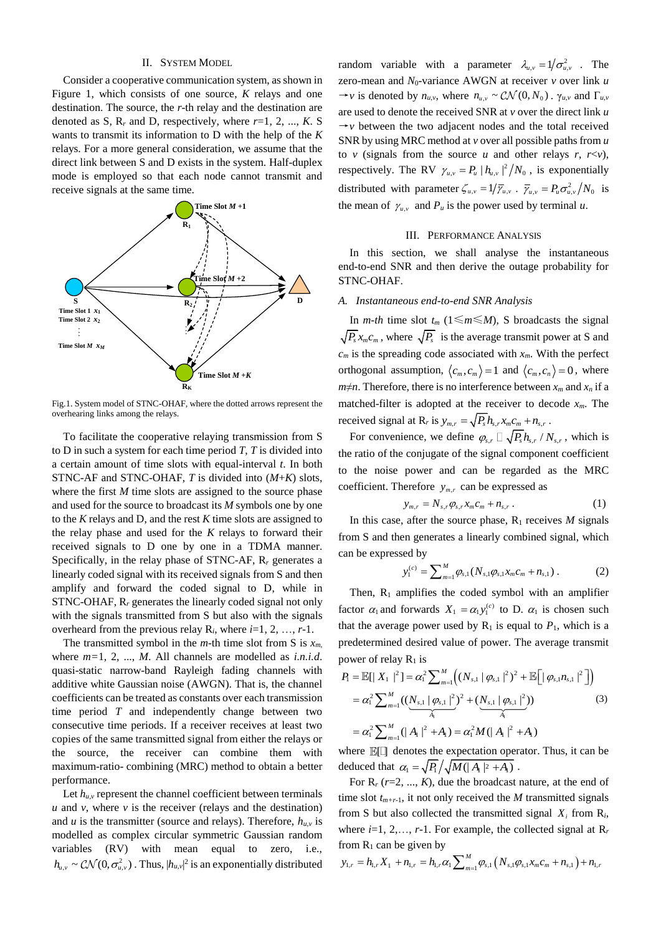## II. SYSTEM MODEL

Consider a cooperative communication system, as shown in Figure 1, which consists of one source, *K* relays and one destination. The source, the *r*-th relay and the destination are denoted as S,  $R_r$  and D, respectively, where  $r=1, 2, ..., K$ . S wants to transmit its information to D with the help of the *K* relays. For a more general consideration, we assume that the direct link between S and D exists in the system. Half-duplex mode is employed so that each node cannot transmit and receive signals at the same time.



Fig.1. System model of STNC-OHAF, where the dotted arrows represent the overhearing links among the relays.

To facilitate the cooperative relaying transmission from S to D in such a system for each time period *T*, *T* is divided into a certain amount of time slots with equal-interval *t*. In both STNC-AF and STNC-OHAF, *T* is divided into (*M*+*K*) slots, where the first *M* time slots are assigned to the source phase and used for the source to broadcast its *M* symbols one by one to the *K* relays and D, and the rest *K* time slots are assigned to the relay phase and used for the *K* relays to forward their received signals to D one by one in a TDMA manner. Specifically, in the relay phase of STNC-AF, R*<sup>r</sup>* generates a linearly coded signal with its received signals from S and then amplify and forward the coded signal to D, while in STNC-OHAF, R*<sup>r</sup>* generates the linearly coded signal not only with the signals transmitted from S but also with the signals overheard from the previous relay  $R_i$ , where  $i=1, 2, ..., r-1$ .

The transmitted symbol in the *m*-th time slot from S is  $x_m$ . where *m=*1, 2, ..., *M*. All channels are modelled as *i.n.i.d*. quasi-static narrow-band Rayleigh fading channels with additive white Gaussian noise (AWGN). That is, the channel coefficients can be treated as constants over each transmission time period *T* and independently change between two consecutive time periods. If a receiver receives at least two copies of the same transmitted signal from either the relays or the source, the receiver can combine them with maximum-ratio- combining (MRC) method to obtain a better performance.

Let  $h_{u,v}$  represent the channel coefficient between terminals  $u$  and  $v$ , where  $v$  is the receiver (relays and the destination) and *u* is the transmitter (source and relays). Therefore,  $h_{u,v}$  is modelled as complex circular symmetric Gaussian random variables (RV) with mean equal to zero, i.e.,  $h_{u,v} \sim \mathcal{CN}(0, \sigma_{u,v}^2)$ . Thus,  $|h_{u,v}|^2$  is an exponentially distributed

random variable with a parameter  $\lambda_{u,v} = 1/\sigma_{u,v}^2$ . The zero-mean and  $N_0$ -variance AWGN at receiver  $\nu$  over link  $\mu$  $\rightarrow$ *v* is denoted by  $n_{u,v}$ , where  $n_{u,v} \sim \mathcal{CN}(0, N_0)$ .  $\gamma_{u,v}$  and  $\Gamma_{u,v}$ are used to denote the received SNR at *v* over the direct link *u*  $\rightarrow$ *v* between the two adjacent nodes and the total received SNR by using MRC method at *v* over all possible paths from *u* to *v* (signals from the source *u* and other relays *r*,  $r \le v$ ), respectively. The RV  $\gamma_{u,v} = P_u | h_{u,v} |^2 / N_0$ , is exponentially distributed with parameter  $\zeta_{u,v} = 1/\overline{\gamma}_{u,v}$ .  $\overline{\gamma}_{u,v} = P_u \sigma_{u,v}^2/N_0$  is the mean of  $\gamma_{u,v}$  and  $P_u$  is the power used by terminal *u*.

## III. PERFORMANCE ANALYSIS

In this section, we shall analyse the instantaneous end-to-end SNR and then derive the outage probability for STNC-OHAF.

# *A. Instantaneous end-to-end SNR Analysis*

In *m-th* time slot  $t_m$  (1≤*m*≤*M*), S broadcasts the signal  $P_s x_m c_m$ , where  $\sqrt{P_s}$  is the average transmit power at S and  $c_m$  is the spreading code associated with  $x_m$ . With the perfect orthogonal assumption,  $\langle c_m, c_m \rangle = 1$  and  $\langle c_m, c_n \rangle = 0$ , where *m* $\neq$ *n*. Therefore, there is no interference between  $x_m$  and  $x_n$  if a matched-filter is adopted at the receiver to decode  $x_m$ . The received signal at R<sub>*r*</sub> is  $y_{m,r} = \sqrt{P_s} h_{s,r} x_m c_m + n_{s,r}$ .

For convenience, we define  $\varphi_{s,r} \Box \sqrt{P_s h_{s,r}} / N_{s,r}$ , which is the ratio of the conjugate of the signal component coefficient to the noise power and can be regarded as the MRC coefficient. Therefore  $y_{m,r}$  can be expressed as

$$
y_{m,r} = N_{s,r} \varphi_{s,r} x_m c_m + n_{s,r} . \qquad (1)
$$

In this case, after the source phase,  $R_1$  receives  $M$  signals from S and then generates a linearly combined signal, which can be expressed by

$$
y_1^{(c)} = \sum_{m=1}^M \varphi_{s,1}(N_{s,1}\varphi_{s,1}x_m c_m + n_{s,1}) \,. \tag{2}
$$

Then,  $R_1$  amplifies the coded symbol with an amplifier factor  $\alpha_1$  and forwards  $X_1 = \alpha_1 y_1^{(c)}$  to D.  $\alpha_1$  is chosen such that the average power used by  $R_1$  is equal to  $P_1$ , which is a predetermined desired value of power. The average transmit

power of relay R<sub>1</sub> is  
\n
$$
P_1 = \mathbb{E}[|X_1|^2] = \alpha_1^2 \sum_{m=1}^M ((N_{s,1} | \varphi_{s,1}|^2)^2 + \mathbb{E}[| \varphi_{s,1} n_{s,1}|^2])
$$
\n
$$
= \alpha_1^2 \sum_{m=1}^M ((\underbrace{N_{s,1} | \varphi_{s,1}|^2}_{A_1})^2 + (\underbrace{N_{s,1} | \varphi_{s,1}|^2}_{A_1}))
$$
\n
$$
= \alpha_1^2 \sum_{m=1}^M (|A_1|^2 + A_1) = \alpha_1^2 M (|A_1|^2 + A_1)
$$
\n(3)

where  $\mathbb{E}[\Box]$  denotes the expectation operator. Thus, it can be deduced that  $\alpha_1 = \sqrt{P_1}/\sqrt{M(|A_1|^2 + A_1)}$ .

For R*<sup>r</sup>* (*r*=2, ..., *K*), due the broadcast nature, at the end of time slot  $t_{m+r-1}$ , it not only received the *M* transmitted signals from S but also collected the transmitted signal  $X_i$  from  $R_i$ , where  $i=1, 2, \ldots, r-1$ . For example, the collected signal at  $R_r$ 

from R<sub>1</sub> can be given by  
\n
$$
y_{1,r} = h_{1,r} X_1 + n_{1,r} = h_{1,r} \alpha_1 \sum_{m=1}^{M} \varphi_{s,1} (N_{s,1} \varphi_{s,1} x_m c_m + n_{s,1}) + n_{1,r}
$$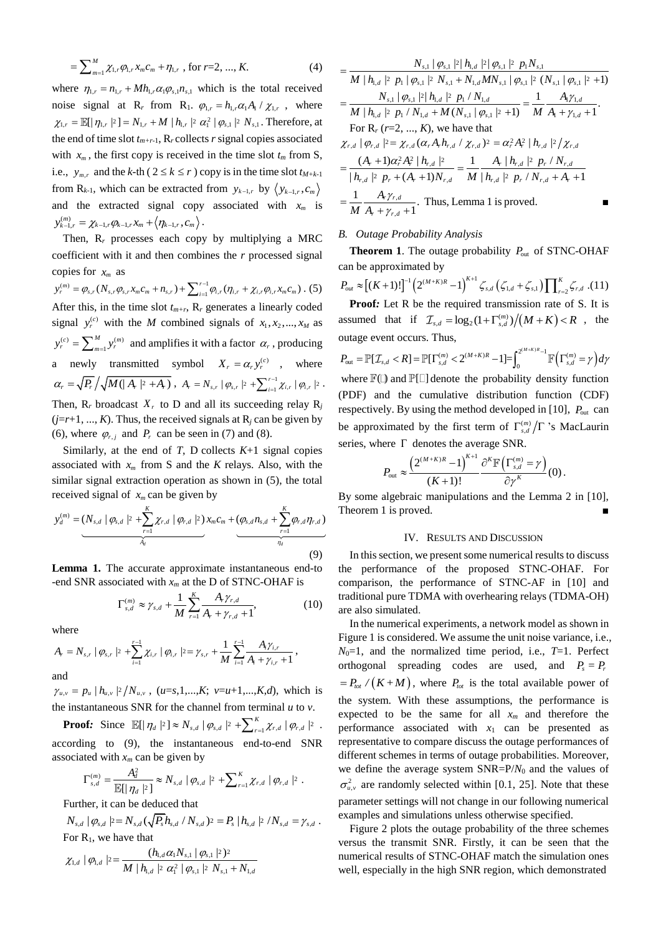$$
= \sum_{m=1}^{M} \chi_{1,r} \varphi_{1,r} x_m c_m + \eta_{1,r} \text{, for } r=2, ..., K. \tag{4}
$$

where  $\eta_{1,r} = n_{1,r} + M h_{1,r} \alpha_1 \varphi_{s,1} n_{s,1}$  which is the total received noise signal at R<sub>r</sub> from R<sub>1</sub>.  $\varphi_{1,r} = h_{1,r} \alpha_1 A_1 / \chi_{1,r}$ , where noise signal at  $R_r$  from  $R_1$ .  $\varphi_{1,r} = h_{1,r} \alpha_1 A_1 / \chi_{1,r}$ , where  $\chi_{1,r} = \mathbb{E}[|\eta_{1,r}|^2] = N_{1,r} + M |h_{1,r}|^2 \alpha_1^2 |\varphi_{s,1}|^2 N_{s,1}$ . Therefore, at the end of time slot *tm+r-*1, R*<sup>r</sup>* collects *r* signal copies associated with  $x_m$ , the first copy is received in the time slot  $t_m$  from S, i.e.,  $y_{m,r}$  and the *k*-th ( $2 \le k \le r$ ) copy is in the time slot  $t_{M+k-1}$ from  $R_{k-1}$ , which can be extracted from  $y_{k-1,r}$  by  $\left(y_{k-1,r}, c_m\right)$ and the extracted signal copy associated with  $x_m$  is  $y_{k-1,r}^{(m)} = \chi_{k-1,r} \varphi_{k-1,r} x_m + \langle \eta_{k-1,r}, c_m \rangle$ .

Then, R*<sup>r</sup>* processes each copy by multiplying a MRC coefficient with it and then combines the *r* processed signal copies for *xm* as

sopies for  $x_m$  as  $y_r^{(m)} = \varphi_{s,r}(N_{s,r}\varphi_{s,r}x_m c_m + n_{s,r}) + \sum_{i=1}^{r-1} \varphi_{i,r}(\eta_{i,r} + \chi_{i,r}\varphi_{i,r}x_m c_m)$ es for  $x_m$  as<br>=  $\varphi_{s,r}(N_{s,r}\varphi_{s,r}x_m c_m + n_{s,r}) + \sum_{i=1}^{r-1} \varphi_{i,r}(\eta_{i,r} + \chi_{i,r}\varphi_{i,r}x_m c_m)$ . (5) After this, in the time slot  $t_{m+r}$ ,  $R_r$  generates a linearly coded signal  $y_r^{(c)}$  with the *M* combined signals of  $x_1, x_2, ..., x_M$  as  $(c)$   $\sum$ <sup>M</sup>  $\binom{m}{k}$ 1  $c)$   $\sum$ <sup>*M*</sup>  $\sqrt{m}$  $y_r^{(c)} = \sum_{m=1}^{M} y_r^{(m)}$  and amplifies it with a factor  $\alpha_r$ , producing a newly transmitted symbol  $X_r = \alpha_r y_r^{(c)}$ , where  $\alpha_r = \sqrt{P_r} / \sqrt{M(|A_r|^2 + A_r)}$ ,  $A_r = N_{s,r} |\varphi_{s,r}|^2 + \sum_{i=1}^{r-1} \chi_{i,r} |\varphi_{i,r}|^2$  $= N_{s,r} | \varphi_{s,r} |^2 + \sum_{i=1}^{r-1} \chi_{i,r} | \varphi_{i,r} |^2$ . Then,  $R_r$  broadcast  $X_r$  to D and all its succeeding relay  $R_j$  $(j=r+1, ..., K)$ . Thus, the received signals at  $R_j$  can be given by (6), where  $\varphi_{r,j}$  and  $P_r$  can be seen in (7) and (8).

Similarly, at the end of  $T$ , D collects  $K+1$  signal copies associated with  $x_m$  from S and the *K* relays. Also, with the

similar signal extraction operation as shown in (5), the total  
received signal of 
$$
x_m
$$
 can be given by  

$$
y_d^{(m)} = (N_{s,d} | \varphi_{s,d} |^2 + \sum_{r=1}^K \chi_{r,d} | \varphi_{r,d} |^2) x_m c_m + (\varphi_{s,d} n_{s,d} + \sum_{r=1}^K \varphi_{r,d} \eta_{r,d})
$$

$$
T_d
$$
(9)

**Lemma 1.** The accurate approximate instantaneous end-to -end SNR associated with *x<sup>m</sup>* at the D of STNC-OHAF is

$$
\Gamma_{s,d}^{(m)} \approx \gamma_{s,d} + \frac{1}{M} \sum_{r=1}^{K} \frac{A_r \gamma_{r,d}}{A_r + \gamma_{r,d} + 1},
$$
 (10)

where  
\n
$$
M_{r=1}^{r-1} \lambda_r + \gamma_{r,d} + 1
$$
\n
$$
A_r = N_{s,r} | \varphi_{s,r} |^2 + \sum_{i=1}^{r-1} \chi_{i,r} | \varphi_{i,r} |^2 = \gamma_{s,r} + \frac{1}{M} \sum_{i=1}^{r-1} \frac{A_i \gamma_{i,r}}{A_i + \gamma_{i,r} + 1},
$$
\nand

 $\gamma_{u,v} = p_u \mid h_{u,v} \mid^2 / N_{u,v}$ ,  $(u=s,1,...,K; v=u+1,...,K,d)$ , which is the instantaneous SNR for the channel from terminal *u* to *v*.

**Proof:** Since  $\mathbb{E}[|\eta_d|^2] \approx N_{s,d} |\varphi_{s,d}|^2 + \sum_{r=1}^K \chi_{r,d} |\varphi_{r,d}|^2$ . according to (9), the instantaneous end-to-end SNR associated with  $x_m$  can be given by

$$
\Gamma_{s,d}^{(m)} = \frac{A_d^2}{\mathbb{E}[|\eta_d|^2]} \approx N_{s,d} |\varphi_{s,d}|^2 + \sum_{r=1}^K \chi_{r,d} |\varphi_{r,d}|^2.
$$

Further, it can be deduced that  
\n
$$
N_{s,d} | \varphi_{s,d} |^2 = N_{s,d} (\sqrt{P_s} h_{s,d} / N_{s,d})^2 = P_s | h_{s,d} |^2 / N_{s,d} = \gamma_{s,d}.
$$
\nFor R<sub>1</sub>, we have that  
\n
$$
\chi_{s,d} | \varphi_{s,d} |^2 = \frac{(h_{1,d} \alpha_1 N_{s,1} | \varphi_{s,1} |^2)^2}{\sqrt{P_s} \sqrt{P_s} \sqrt{P_s} \sqrt{P_s} \sqrt{P_s} \sqrt{P_s} \sqrt{P_s} \sqrt{P_s} \sqrt{P_s} \sqrt{P_s} \sqrt{P_s} \sqrt{P_s} \sqrt{P_s} \sqrt{P_s} \sqrt{P_s} \sqrt{P_s} \sqrt{P_s} \sqrt{P_s} \sqrt{P_s} \sqrt{P_s} \sqrt{P_s} \sqrt{P_s} \sqrt{P_s} \sqrt{P_s} \sqrt{P_s} \sqrt{P_s} \sqrt{P_s} \sqrt{P_s} \sqrt{P_s} \sqrt{P_s} \sqrt{P_s} \sqrt{P_s} \sqrt{P_s} \sqrt{P_s} \sqrt{P_s} \sqrt{P_s} \sqrt{P_s} \sqrt{P_s} \sqrt{P_s} \sqrt{P_s} \sqrt{P_s} \sqrt{P_s} \sqrt{P_s} \sqrt{P_s} \sqrt{P_s} \sqrt{P_s} \sqrt{P_s} \sqrt{P_s} \sqrt{P_s} \sqrt{P_s} \sqrt{P_s} \sqrt{P_s} \sqrt{P_s} \sqrt{P_s} \sqrt{P_s} \sqrt{P_s} \sqrt{P_s} \sqrt{P_s} \sqrt{P_s} \sqrt{P_s} \sqrt{P_s} \sqrt{P_s} \sqrt{P_s} \sqrt{P_s} \sqrt{P_s} \sqrt{P_s} \sqrt{P_s} \sqrt{P_s} \sqrt{P_s} \sqrt{P_s} \sqrt{P_s} \sqrt{P_s} \sqrt{P_s} \sqrt{P_s} \sqrt{P_s} \sqrt{P_s} \sqrt{P_s} \sqrt{P_s} \sqrt{P_s} \sqrt{P_s} \sqrt{P_s} \sqrt{P_s} \sqrt{P_s} \sqrt{P_s} \sqrt{P_s} \sqrt{P_s} \sqrt{P_s} \sqrt{P_s} \sqrt{P_s} \sqrt{P_s} \sqrt{P_s} \sqrt{P_s} \sqrt{P_s} \sqrt{P_s} \sqrt{P_s} \sqrt{P_s} \sqrt{P_s} \sqrt{P_s} \sqrt{P_s} \sqrt{P_s} \sqrt{P_s} \
$$

For R<sub>1</sub>, we have that  
\n
$$
\chi_{1,d} | \varphi_{1,d} |^{2} = \frac{(h_{1,d} \alpha_1 N_{s,1} | \varphi_{s,1} |^{2})^{2}}{M | h_{1,d} |^{2} \alpha_1^{2} | \varphi_{s,1} |^{2} N_{s,1} + N_{1,d}}
$$

$$
= \frac{N_{s,1} |\varphi_{s,1}|^{2} |h_{1,d} |^{2} |\varphi_{s,1}|^{2} p_{1} N_{s,1}}{M |h_{1,d} |^{2} p_{1} |\varphi_{s,1}|^{2} N_{s,1} + N_{1,d}MN_{s,1} |\varphi_{s,1}|^{2} (N_{s,1} |\varphi_{s,1}|^{2} + 1)}
$$
\n
$$
= \frac{N_{s,1} |\varphi_{s,1}|^{2} |h_{1,d} |^{2} p_{1} / N_{1,d}}{M |h_{1,d} |^{2} p_{1} / N_{1,d} + M(N_{s,1} |\varphi_{s,1}|^{2} + 1)} = \frac{1}{M} \frac{A_{1} \gamma_{1,d}}{A_{1} + \gamma_{1,d} + 1}.
$$
\nFor R<sub>r</sub> (r=2, ..., K), we have that\n
$$
\chi_{r,d} |\varphi_{r,d} |^{2} = \chi_{r,d} (\alpha_{r} A_{r} h_{r,d} / \chi_{r,d})^{2} = \alpha_{r}^{2} A_{r}^{2} |h_{r,d} |^{2} / \chi_{r,d}
$$
\n
$$
= \frac{(A_{r} + 1)\alpha_{r}^{2} A_{r}^{2} |h_{r,d} |^{2}}{|h_{r,d} |^{2} p_{r} + (A_{r} + 1)N_{r,d}} = \frac{1}{M} \frac{A_{r} |h_{r,d} |^{2} p_{r} / N_{r,d}}{|h_{r,d} |^{2} p_{r} / N_{r,d} + A_{r} + 1}
$$
\n
$$
= \frac{1}{M} \frac{A_{r} \gamma_{r,d}}{A_{r} + \gamma_{r,d} + 1}.
$$
 Thus, Lemma 1 is proved.

#### *B. Outage Probability Analysis*

**Theorem 1.** The outage probability  $P_{\text{out}}$  of STNC-OHAF

can be approximated by  
\n
$$
P_{out} \approx \left[ (K+1)! \right]^{-1} \left( 2^{(M+K)R} - 1 \right)^{K+1} \zeta_{s,d} \left( \zeta_{1,d} + \zeta_{s,1} \right) \prod_{r=2}^{K} \zeta_{r,d} . (11)
$$
\n**Proof:** Let R be the required transmission rate of S. It is

assumed that if  $\mathcal{I}_{s,d} = \log_2(1 + \Gamma_{s,d}^{(m)})/(M+K) < R$ , the outage event occurs. Thus,

 $(\Gamma_{s,d}^{(m)} = \gamma)$  $(M+K)$ outage event occurs. Thus,<br>  $P_{\text{out}} = \mathbb{P}[\mathcal{I}_{s,d} < R] = \mathbb{P}[\Gamma_{s,d}^{(m)} < 2^{(M+K)R} - 1] = \int_0^{2^{(M+K)R} - 1} \mathbb{F}(\Gamma_{s,d}^{(m)} = \gamma) d\gamma$  $+K)R$  11  $\int^{2^{(M+K)R}-}$ ge event occurs. Thus,<br>=  $\mathbb{P}[\mathcal{I}_{s,d} < R] = \mathbb{P}[\Gamma_{s,d}^{(m)} < 2^{(M+K)R} - 1] = \int_0^{2^{(M+K)R} - 1} \mathbb{F}(\Gamma_{s,d}^{(m)} = \gamma) d\gamma$ where  $\mathbb{F}(\mathbb{D})$  and  $\mathbb{P}[\mathbb{C}]$  denote the probability density function (PDF) and the cumulative distribution function (CDF) respectively. By using the method developed in [10],  $P_{\text{out}}$  can be approximated by the first term of  $\Gamma_{s,d}^{(m)}/\Gamma$  's MacLaurin series, where  $\Gamma$  denotes the average SNR.

$$
P_{\text{out}} \approx \frac{\left(2^{(M+K)R}-1\right)^{K+1}}{(K+1)!} \frac{\partial^K \mathbb{F}\left(\Gamma_{s,d}^{(m)}=\gamma\right)}{\partial \gamma^K}(0).
$$

By some algebraic manipulations and the Lemma 2 in [10], Theorem 1 is proved.

## IV. RESULTS AND DISCUSSION

In this section, we present some numerical results to discuss the performance of the proposed STNC-OHAF. For comparison, the performance of STNC-AF in [10] and traditional pure TDMA with overhearing relays (TDMA-OH) are also simulated.

In the numerical experiments, a network model as shown in Figure 1 is considered. We assume the unit noise variance, i.e.,  $N_0=1$ , and the normalized time period, i.e.,  $T=1$ . Perfect orthogonal spreading codes are used, and  $P_s = P_t$  $= P_{tot} / (K + M)$ , where  $P_{tot}$  is the total available power of the system. With these assumptions, the performance is expected to be the same for all *x<sup>m</sup>* and therefore the performance associated with *x*<sup>1</sup> can be presented as representative to compare discuss the outage performances of different schemes in terms of outage probabilities. Moreover, we define the average system SNR=P/*N*<sup>0</sup> and the values of  $\sigma_{u,v}^2$  are randomly selected within [0.1, 25]. Note that these parameter settings will not change in our following numerical examples and simulations unless otherwise specified.

Figure 2 plots the outage probability of the three schemes versus the transmit SNR. Firstly, it can be seen that the numerical results of STNC-OHAF match the simulation ones well, especially in the high SNR region, which demonstrated